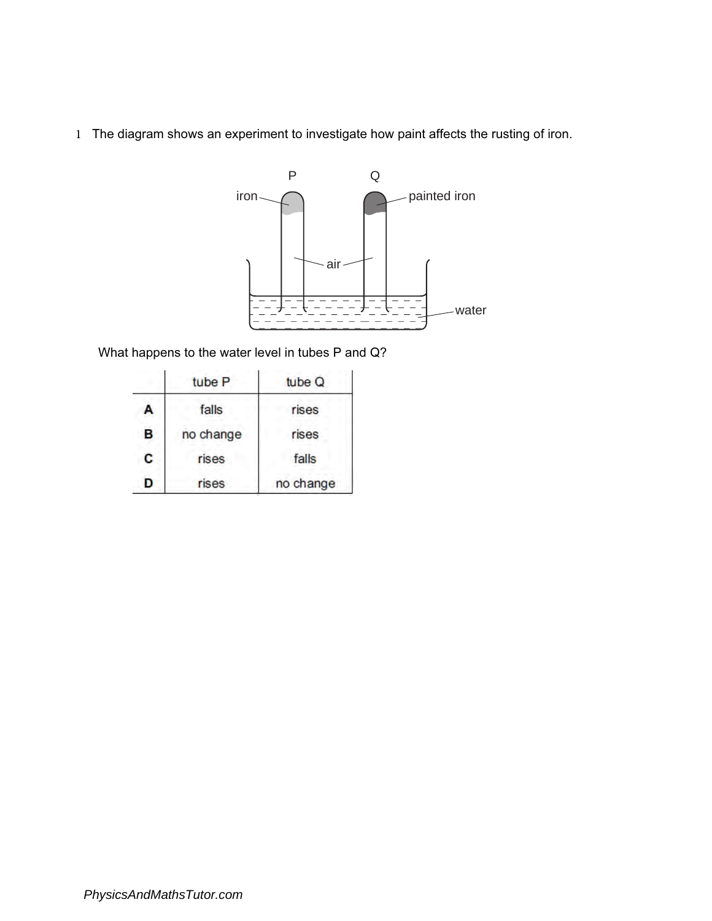1 The diagram shows an experiment to investigate how paint affects the rusting of iron.



What happens to the water level in tubes P and Q?

|   | tube <sub>P</sub> | tube Q    |
|---|-------------------|-----------|
| A | falls             | rises     |
| B | no change         | rises     |
| С | rises             | falls     |
| D | rises             | no change |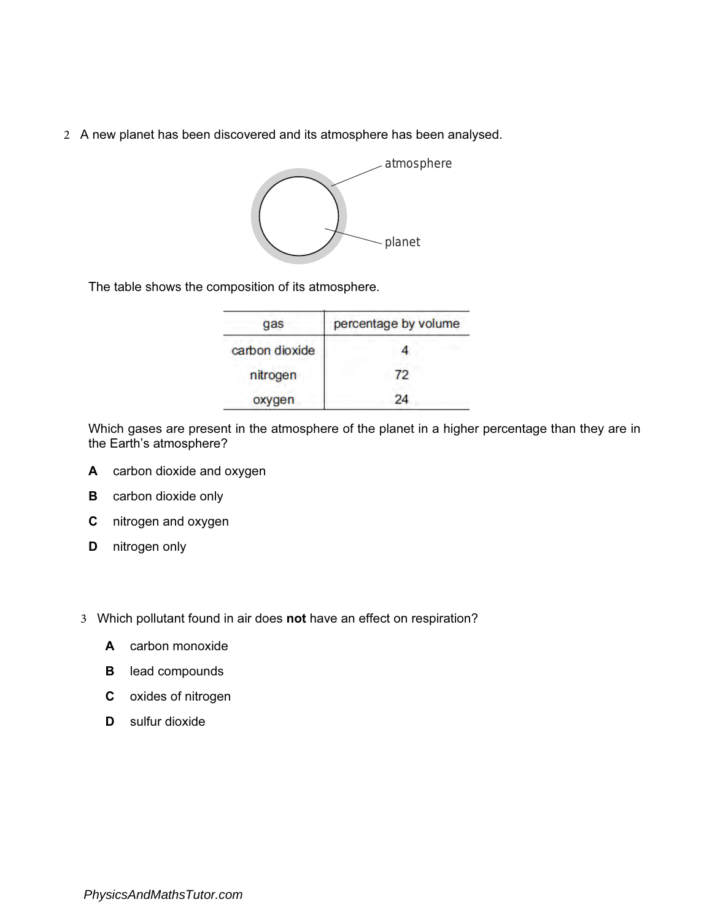2 A new planet has been discovered and its atmosphere has been analysed.



The table shows the composition of its atmosphere.

| qas            | percentage by volume |
|----------------|----------------------|
| carbon dioxide |                      |
| nitrogen       | 72                   |
| oxygen         | 24                   |

Which gases are present in the atmosphere of the planet in a higher percentage than they are in the Earth's atmosphere?

- A carbon dioxide and oxygen
- **B** carbon dioxide only
- C nitrogen and oxygen
- D nitrogen only
- 3 Which pollutant found in air does not have an effect on respiration?
	- A carbon monoxide
	- **B** lead compounds
	- C oxides of nitrogen
	- D sulfur dioxide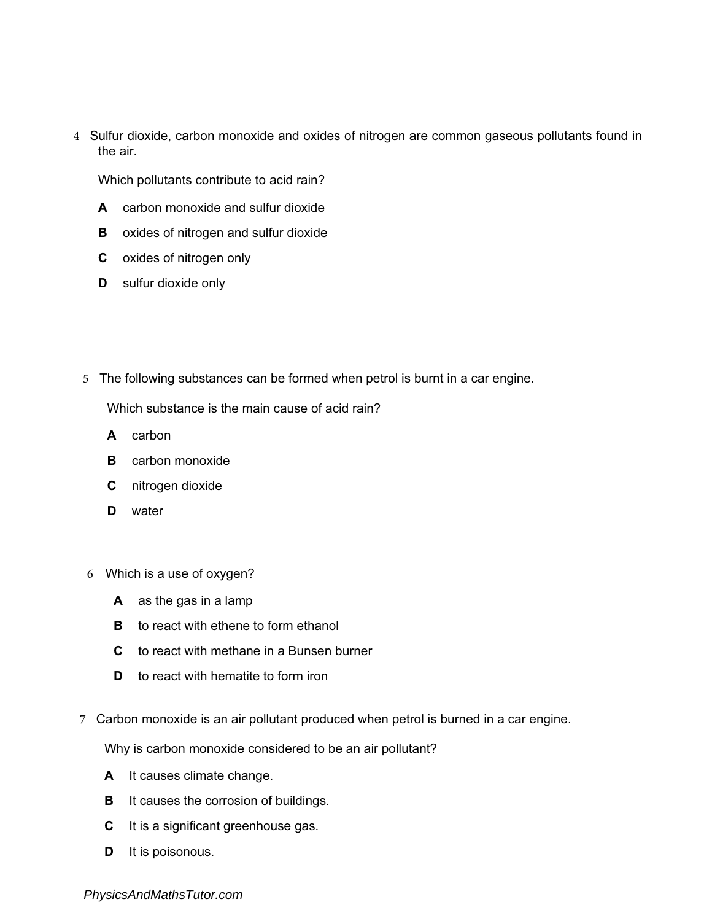4 Sulfur dioxide, carbon monoxide and oxides of nitrogen are common gaseous pollutants found in the air.

Which pollutants contribute to acid rain?

- A carbon monoxide and sulfur dioxide
- **B** oxides of nitrogen and sulfur dioxide
- C oxides of nitrogen only
- **D** sulfur dioxide only
- 5 The following substances can be formed when petrol is burnt in a car engine.

Which substance is the main cause of acid rain?

- A carbon
- **B** carbon monoxide
- C nitrogen dioxide
- D water
- 6 Which is a use of oxygen?
	- A as the gas in a lamp
	- **B** to react with ethene to form ethanol
	- C to react with methane in a Bunsen burner
	- D to react with hematite to form iron
- 7 Carbon monoxide is an air pollutant produced when petrol is burned in a car engine.

Why is carbon monoxide considered to be an air pollutant?

- A It causes climate change.
- **B** It causes the corrosion of buildings.
- C It is a significant greenhouse gas.
- D It is poisonous.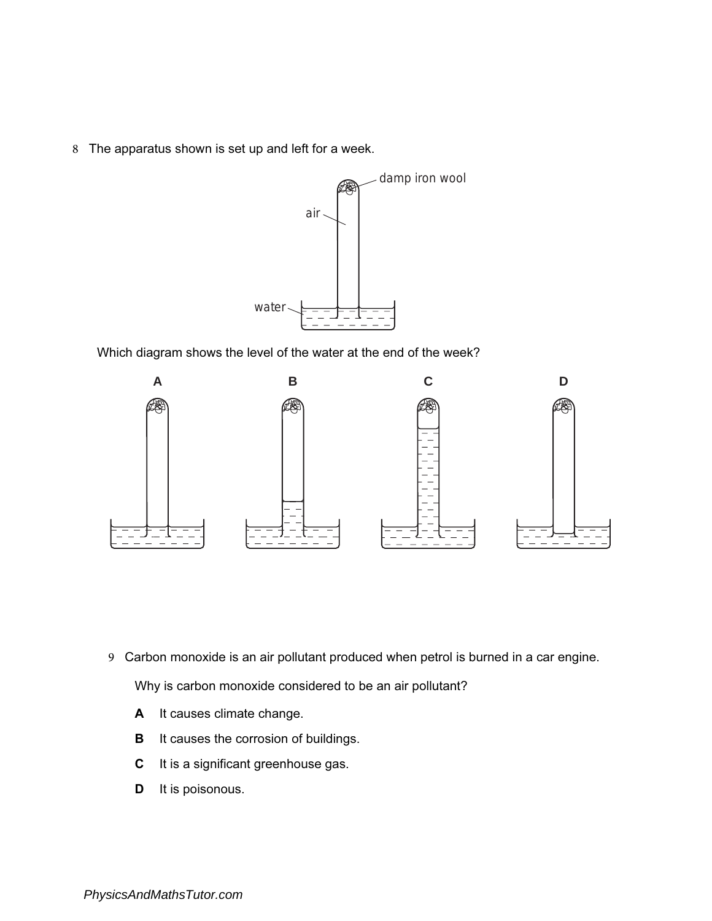8 The apparatus shown is set up and left for a week.



Which diagram shows the level of the water at the end of the week?



9 Carbon monoxide is an air pollutant produced when petrol is burned in a car engine.

Why is carbon monoxide considered to be an air pollutant?

- A It causes climate change.
- **B** It causes the corrosion of buildings.
- C It is a significant greenhouse gas.
- D It is poisonous.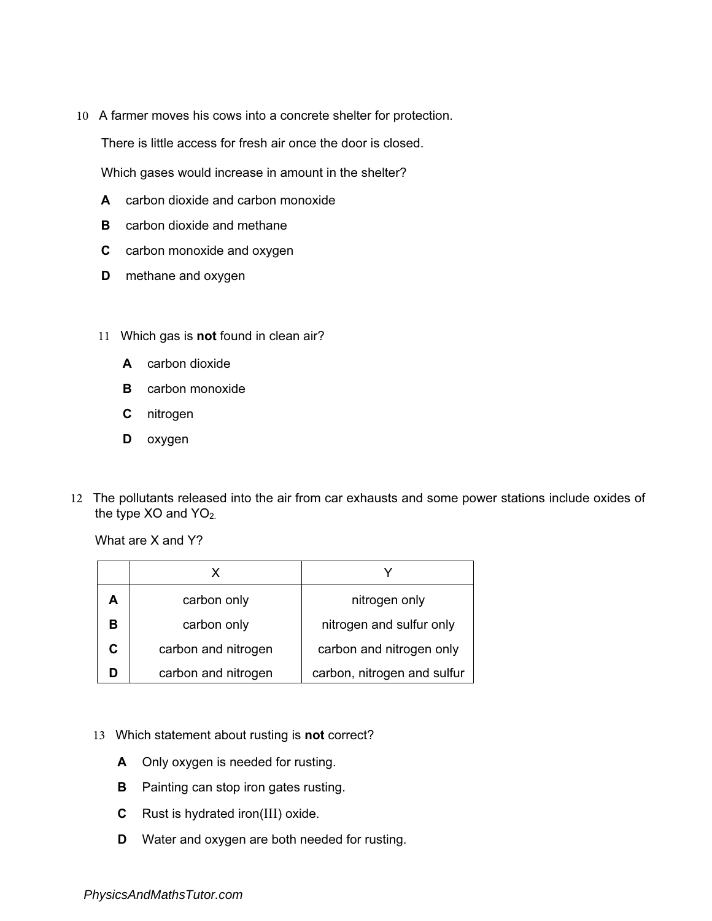10 A farmer moves his cows into a concrete shelter for protection.

There is little access for fresh air once the door is closed.

Which gases would increase in amount in the shelter?

- A carbon dioxide and carbon monoxide
- **B** carbon dioxide and methane
- C carbon monoxide and oxygen
- **D** methane and oxygen
- 11 Which gas is not found in clean air?
	- A carbon dioxide
	- **B** carbon monoxide
	- C nitrogen
	- D oxygen
- 12 The pollutants released into the air from car exhausts and some power stations include oxides of the type  $XO$  and  $YO<sub>2</sub>$ .

What are X and Y?

| carbon only         | nitrogen only               |
|---------------------|-----------------------------|
| carbon only         | nitrogen and sulfur only    |
| carbon and nitrogen | carbon and nitrogen only    |
| carbon and nitrogen | carbon, nitrogen and sulfur |

- 13 Which statement about rusting is not correct?
	- A Only oxygen is needed for rusting.
	- **B** Painting can stop iron gates rusting.
	- C Rust is hydrated iron(III) oxide.
	- D Water and oxygen are both needed for rusting.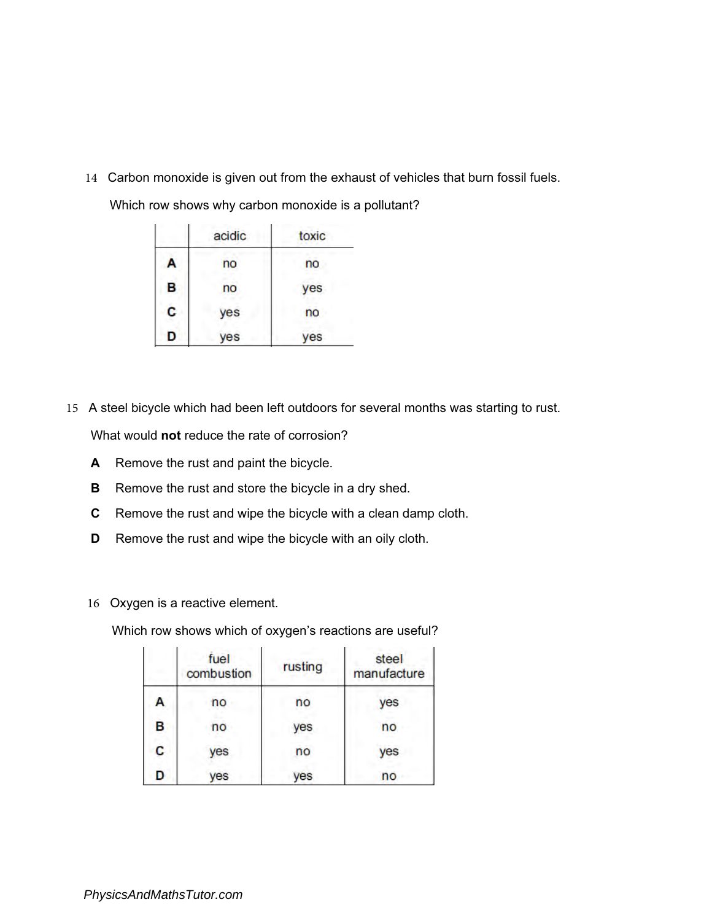14 Carbon monoxide is given out from the exhaust of vehicles that burn fossil fuels.

|   | acidic | toxic |
|---|--------|-------|
| A | no     | no    |
| B | no     | yes   |
| C | yes    | no    |
| D | es     | es    |

Which row shows why carbon monoxide is a pollutant?

15 A steel bicycle which had been left outdoors for several months was starting to rust.

What would **not** reduce the rate of corrosion?

- A Remove the rust and paint the bicycle.
- **B** Remove the rust and store the bicycle in a dry shed.
- C Remove the rust and wipe the bicycle with a clean damp cloth.
- **D** Remove the rust and wipe the bicycle with an oily cloth.
- 16 Oxygen is a reactive element.

Which row shows which of oxygen's reactions are useful?

|   | fuel<br>combustion | rusting | steel<br>manufacture |
|---|--------------------|---------|----------------------|
| А | no                 | no      | yes                  |
| В | no                 | yes     | no                   |
| C | yes                | no      | yes                  |
| D | yes                | ves     | no                   |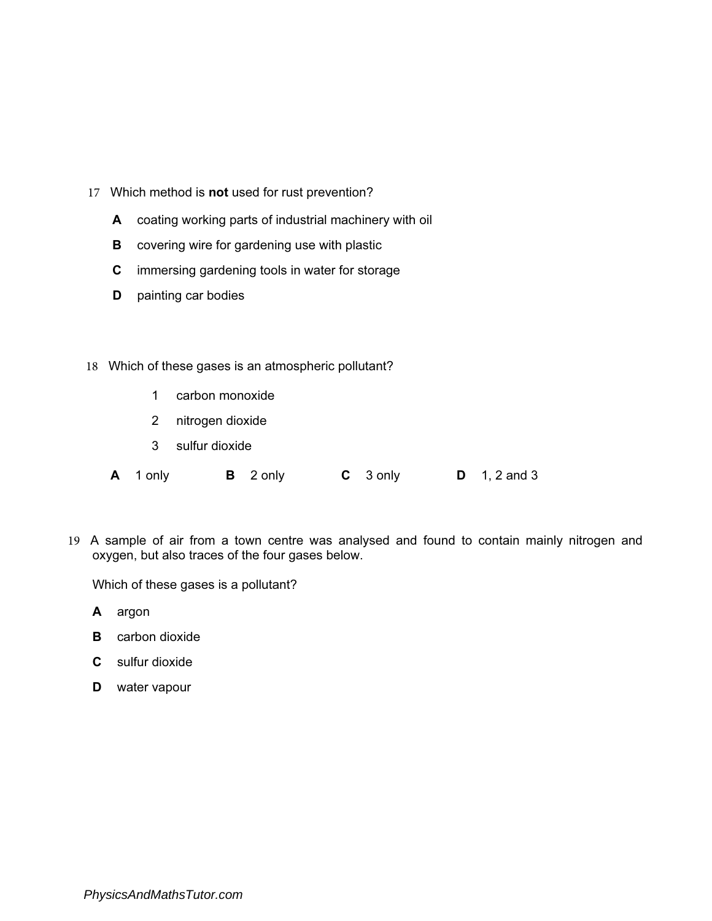- 17 Which method is not used for rust prevention?
	- A coating working parts of industrial machinery with oil
	- **B** covering wire for gardening use with plastic
	- C immersing gardening tools in water for storage
	- **D** painting car bodies
- 18 Which of these gases is an atmospheric pollutant?
	- 1 carbon monoxide
	- 2 nitrogen dioxide
	- 3 sulfur dioxide
	- A 1 only B 2 only C 3 only D 1, 2 and 3
- 19 A sample of air from a town centre was analysed and found to contain mainly nitrogen and oxygen, but also traces of the four gases below.

Which of these gases is a pollutant?

- A argon
- **B** carbon dioxide
- C sulfur dioxide
- D water vapour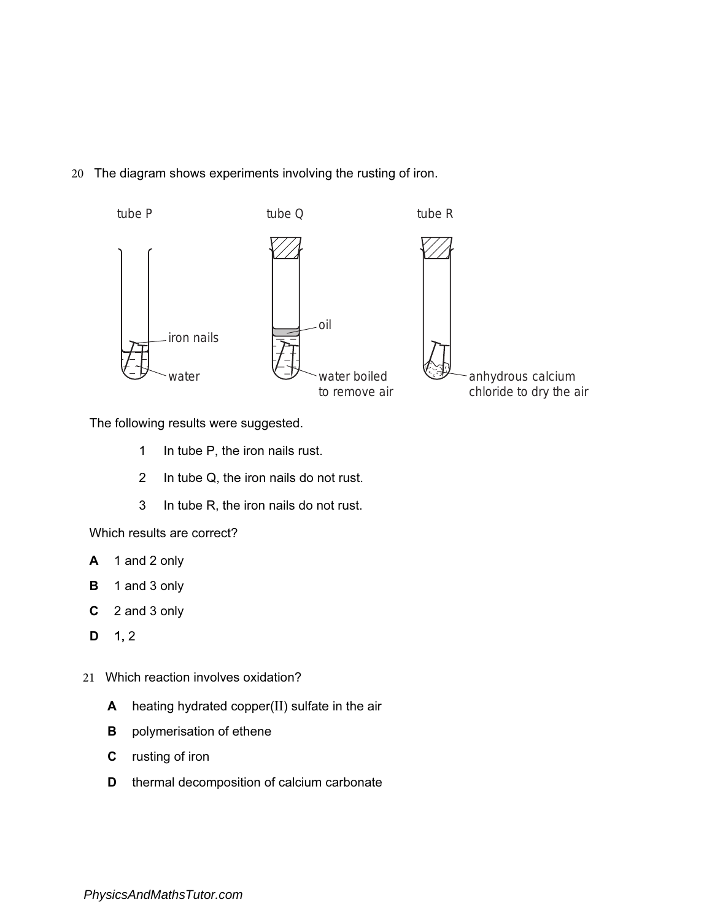## 20 The diagram shows experiments involving the rusting of iron.



The following results were suggested.

- 1 In tube P, the iron nails rust.
- 2 In tube Q, the iron nails do not rust.
- 3 In tube R, the iron nails do not rust.

Which results are correct?

- A 1 and 2 only
- B 1 and 3 only
- C 2 and 3 only
- $D$  1, 2
- 21 Which reaction involves oxidation?
	- A heating hydrated copper(II) sulfate in the air
	- **B** polymerisation of ethene
	- C rusting of iron
	- **D** thermal decomposition of calcium carbonate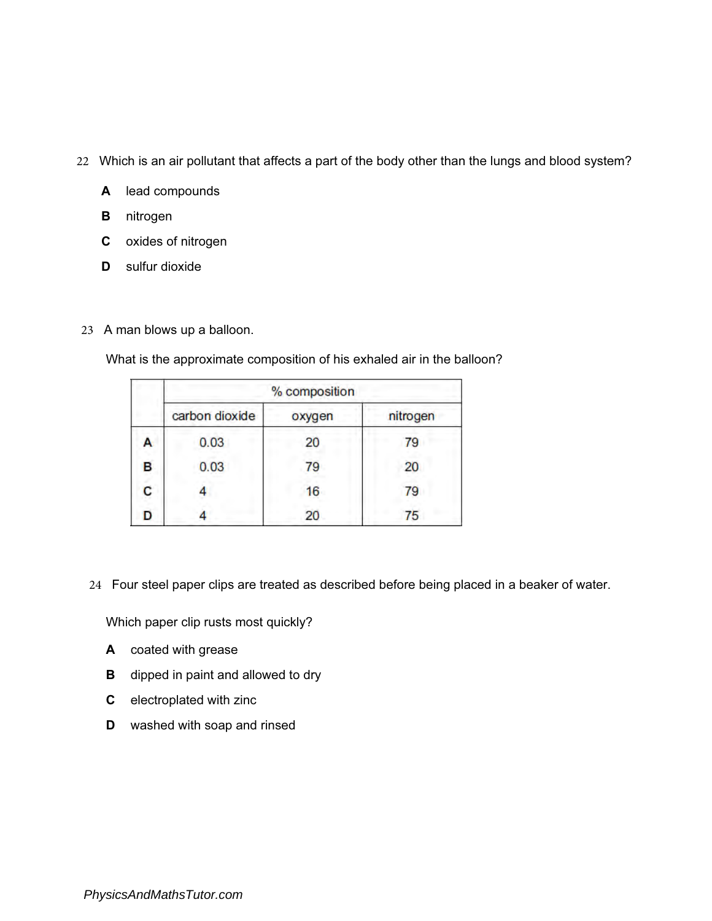- 22 Which is an air pollutant that affects a part of the body other than the lungs and blood system?
	- A lead compounds
	- **B** nitrogen
	- C oxides of nitrogen
	- **D** sulfur dioxide
- 23 A man blows up a balloon.

What is the approximate composition of his exhaled air in the balloon?

|   | % composition  |        |          |
|---|----------------|--------|----------|
|   | carbon dioxide | oxygen | nitrogen |
| A | 0.03           | 20     | 79       |
| в | 0.03           | 79     | 20       |
| С |                | 16     | 79       |
| D |                | 20     | 75       |

24 Four steel paper clips are treated as described before being placed in a beaker of water.

Which paper clip rusts most quickly?

- A coated with grease
- **B** dipped in paint and allowed to dry
- C electroplated with zinc
- D washed with soap and rinsed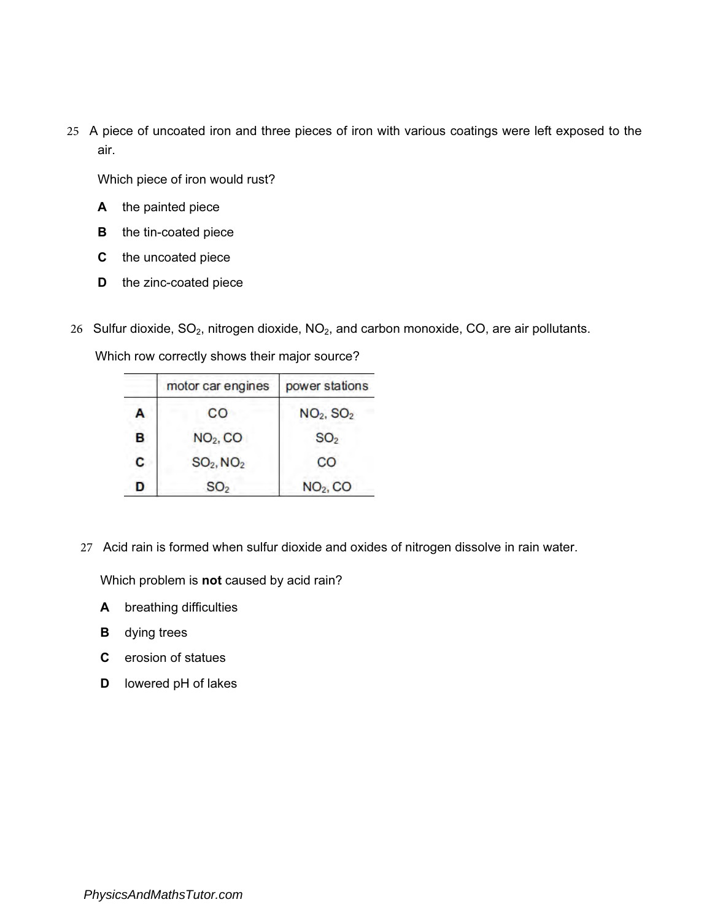25 A piece of uncoated iron and three pieces of iron with various coatings were left exposed to the air.

Which piece of iron would rust?

- A the painted piece
- **B** the tin-coated piece
- C the uncoated piece
- D the zinc-coated piece
- 26 Sulfur dioxide,  $SO_2$ , nitrogen dioxide,  $NO_2$ , and carbon monoxide, CO, are air pollutants.

Which row correctly shows their major source?

|   | motor car engines    | power stations                    |
|---|----------------------|-----------------------------------|
| А | CO                   | NO <sub>2</sub> , SO <sub>2</sub> |
| B | NO <sub>2</sub> , CO | SO <sub>2</sub>                   |
| c | $SO_2$ , $NO_2$      | CO                                |
| D | SO <sub>2</sub>      | NO <sub>2</sub> , CO              |

27 Acid rain is formed when sulfur dioxide and oxides of nitrogen dissolve in rain water.

Which problem is not caused by acid rain?

- A breathing difficulties
- **B** dying trees
- C erosion of statues
- D lowered pH of lakes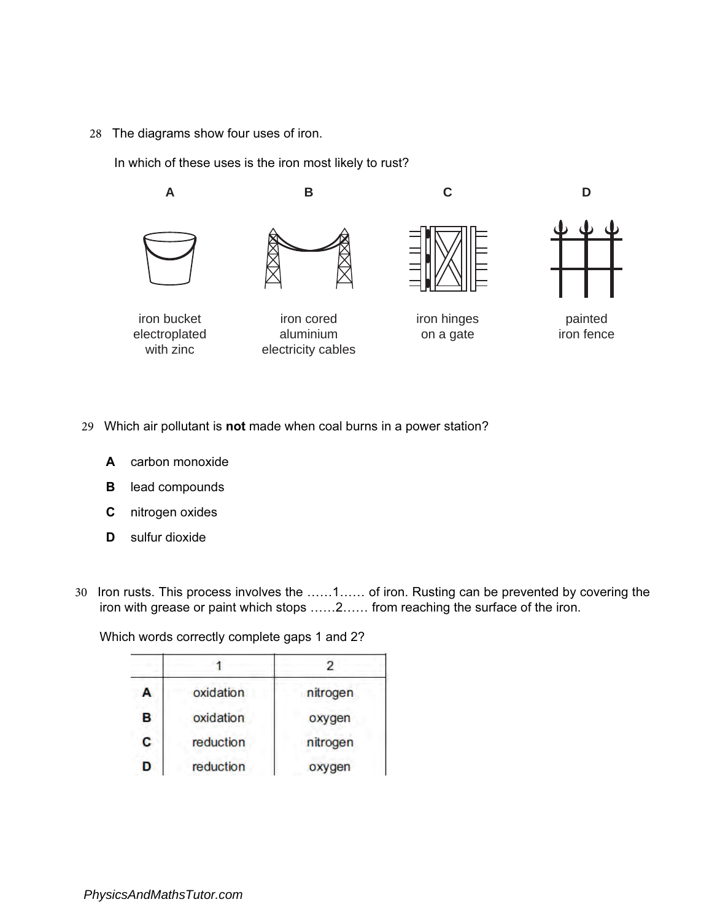28 The diagrams show four uses of iron.

In which of these uses is the iron most likely to rust?



- 29 Which air pollutant is not made when coal burns in a power station?
	- A carbon monoxide
	- B lead compounds
	- C nitrogen oxides
	- **D** sulfur dioxide
- 30 Iron rusts. This process involves the ……1…… of iron. Rusting can be prevented by covering the iron with grease or paint which stops ……2…… from reaching the surface of the iron.

Which words correctly complete gaps 1 and 2?

| A | oxidation | nitrogen |
|---|-----------|----------|
| В | oxidation | oxygen   |
| C | reduction | nitrogen |
| D | reduction | oxygen   |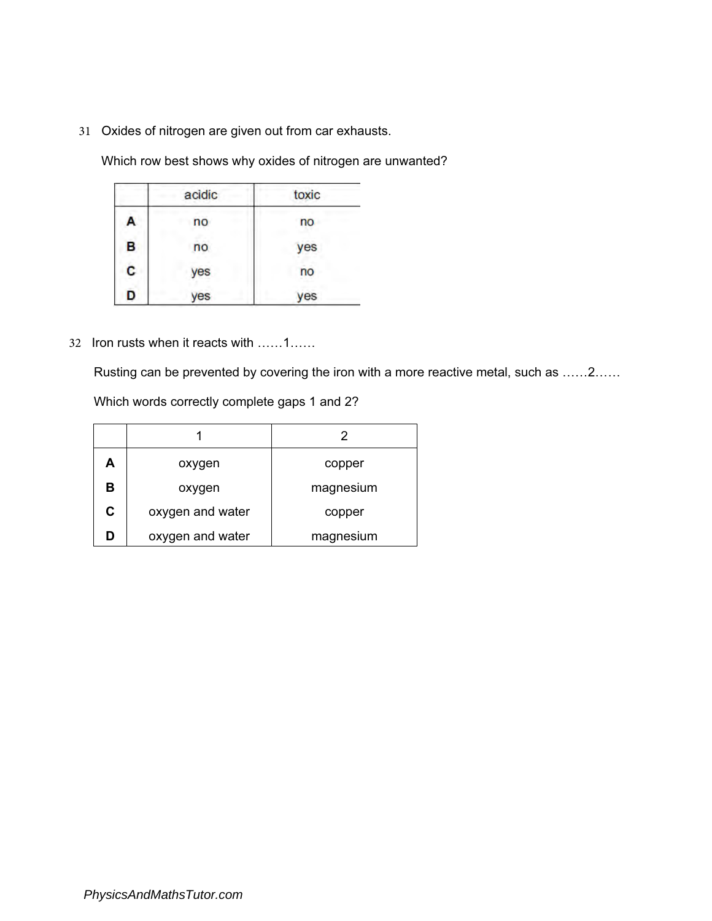31 Oxides of nitrogen are given out from car exhausts.

Which row best shows why oxides of nitrogen are unwanted?

|   | acidic | toxic |
|---|--------|-------|
| A | no     | no    |
| B | no     | yes   |
| C | yes    | no    |
| D | yes    | es    |

32 Iron rusts when it reacts with ……1……

Rusting can be prevented by covering the iron with a more reactive metal, such as ……2……

Which words correctly complete gaps 1 and 2?

|   |                  | 2         |
|---|------------------|-----------|
| А | oxygen           | copper    |
| в | oxygen           | magnesium |
| C | oxygen and water | copper    |
| D | oxygen and water | magnesium |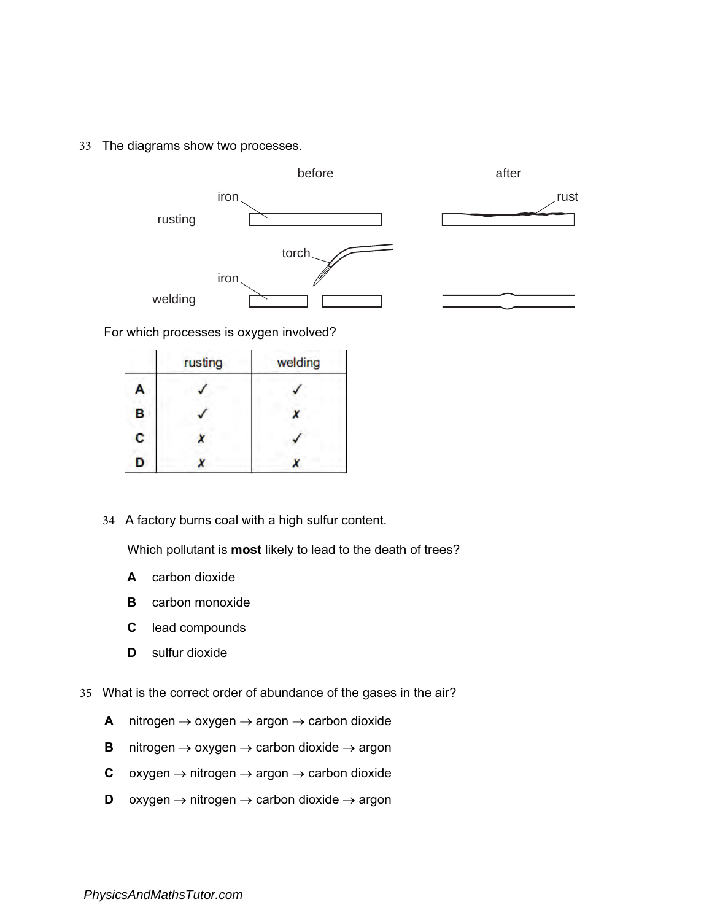33 The diagrams show two processes.



For which processes is oxygen involved?

|   | rusting | welding |
|---|---------|---------|
| А |         |         |
| B |         |         |
| c |         |         |
| D |         |         |

34 A factory burns coal with a high sulfur content.

Which pollutant is **most** likely to lead to the death of trees?

- A carbon dioxide
- **B** carbon monoxide
- C lead compounds
- D sulfur dioxide
- 35 What is the correct order of abundance of the gases in the air?
	- A nitrogen  $\rightarrow$  oxygen  $\rightarrow$  argon  $\rightarrow$  carbon dioxide
	- **B** nitrogen  $\rightarrow$  oxygen  $\rightarrow$  carbon dioxide  $\rightarrow$  argon
	- C oxygen  $\rightarrow$  nitrogen  $\rightarrow$  argon  $\rightarrow$  carbon dioxide
	- D oxygen  $\rightarrow$  nitrogen  $\rightarrow$  carbon dioxide  $\rightarrow$  argon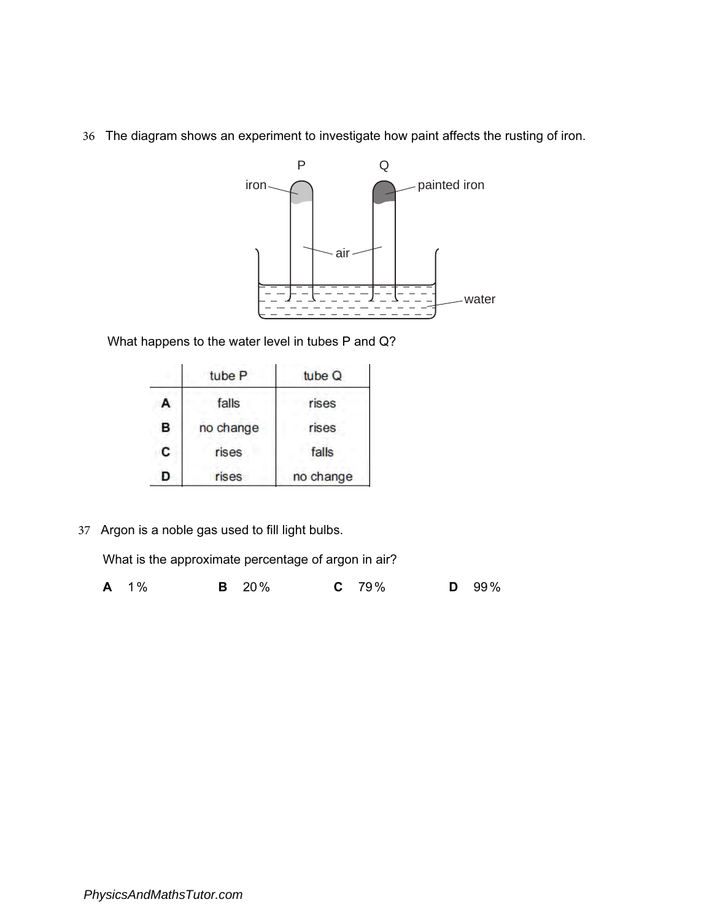36 The diagram shows an experiment to investigate how paint affects the rusting of iron.



What happens to the water level in tubes P and Q?

|   | tube <sub>P</sub> | tube Q    |
|---|-------------------|-----------|
| А | falls             | rises     |
| В | no change         | rises     |
| С | rises             | falls     |
| D | rises             | no change |

37 Argon is a noble gas used to fill light bulbs.

What is the approximate percentage of argon in air?

| <b>A</b> 1% |  | <b>B</b> 20% | $C$ 79% |  |  | $D$ 99% |
|-------------|--|--------------|---------|--|--|---------|
|-------------|--|--------------|---------|--|--|---------|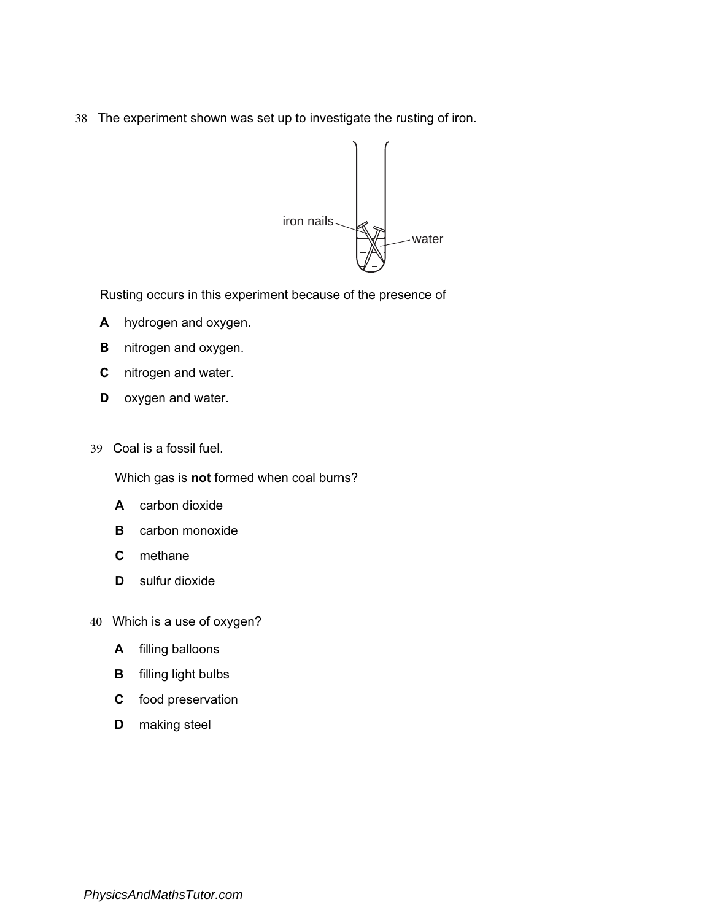38 The experiment shown was set up to investigate the rusting of iron.



Rusting occurs in this experiment because of the presence of

- A hydrogen and oxygen.
- **B** nitrogen and oxygen.
- C nitrogen and water.
- D oxygen and water.
- 39 Coal is a fossil fuel.

Which gas is not formed when coal burns?

- A carbon dioxide
- **B** carbon monoxide
- C methane
- D sulfur dioxide
- 40 Which is a use of oxygen?
	- A filling balloons
	- B filling light bulbs
	- C food preservation
	- D making steel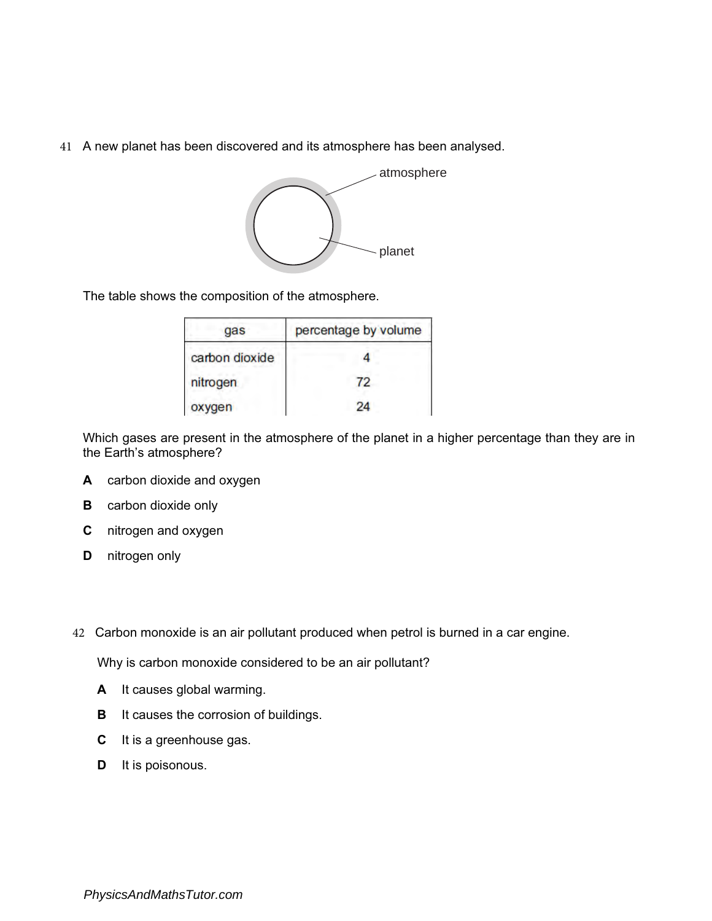41 A new planet has been discovered and its atmosphere has been analysed.



The table shows the composition of the atmosphere.

| gas            | percentage by volume |
|----------------|----------------------|
| carbon dioxide |                      |
| nitrogen       | 72                   |
| oxygen         | 24                   |

Which gases are present in the atmosphere of the planet in a higher percentage than they are in the Earth's atmosphere?

- A carbon dioxide and oxygen
- **B** carbon dioxide only
- C nitrogen and oxygen
- D nitrogen only
- 42 Carbon monoxide is an air pollutant produced when petrol is burned in a car engine.

Why is carbon monoxide considered to be an air pollutant?

- A It causes global warming.
- **B** It causes the corrosion of buildings.
- C It is a greenhouse gas.
- **D** It is poisonous.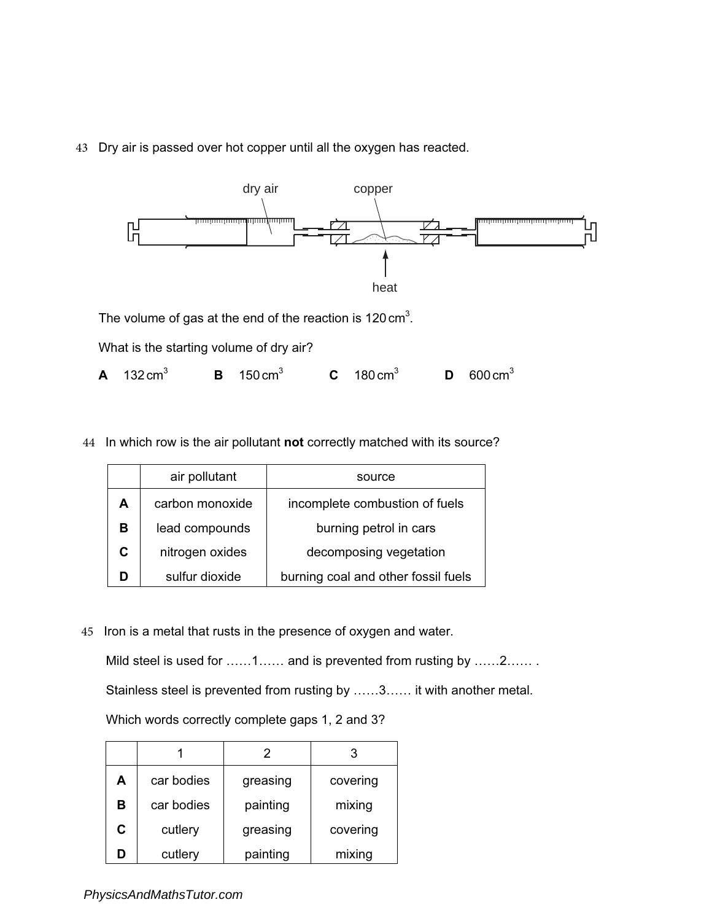

43 Dry air is passed over hot copper until all the oxygen has reacted.

The volume of gas at the end of the reaction is 120 cm<sup>3</sup>.

What is the starting volume of dry air?

- **A**  $132 \text{ cm}^3$  **B**  $150 \text{ cm}^3$  **C**  $180 \text{ cm}^3$  **D**  $600 \text{ cm}^3$
- 44 In which row is the air pollutant not correctly matched with its source?

|    | air pollutant   | source                              |
|----|-----------------|-------------------------------------|
| A  | carbon monoxide | incomplete combustion of fuels      |
| в  | lead compounds  | burning petrol in cars              |
| C. | nitrogen oxides | decomposing vegetation              |
|    | sulfur dioxide  | burning coal and other fossil fuels |

45 Iron is a metal that rusts in the presence of oxygen and water.

Mild steel is used for ……1…… and is prevented from rusting by ……2…… Stainless steel is prevented from rusting by ……3…… it with another metal.

Which words correctly complete gaps 1, 2 and 3?

|   |            |          | 3        |
|---|------------|----------|----------|
| A | car bodies | greasing | covering |
| в | car bodies | painting | mixing   |
| C | cutlery    | greasing | covering |
| Ŋ | cutlery    | painting | mixing   |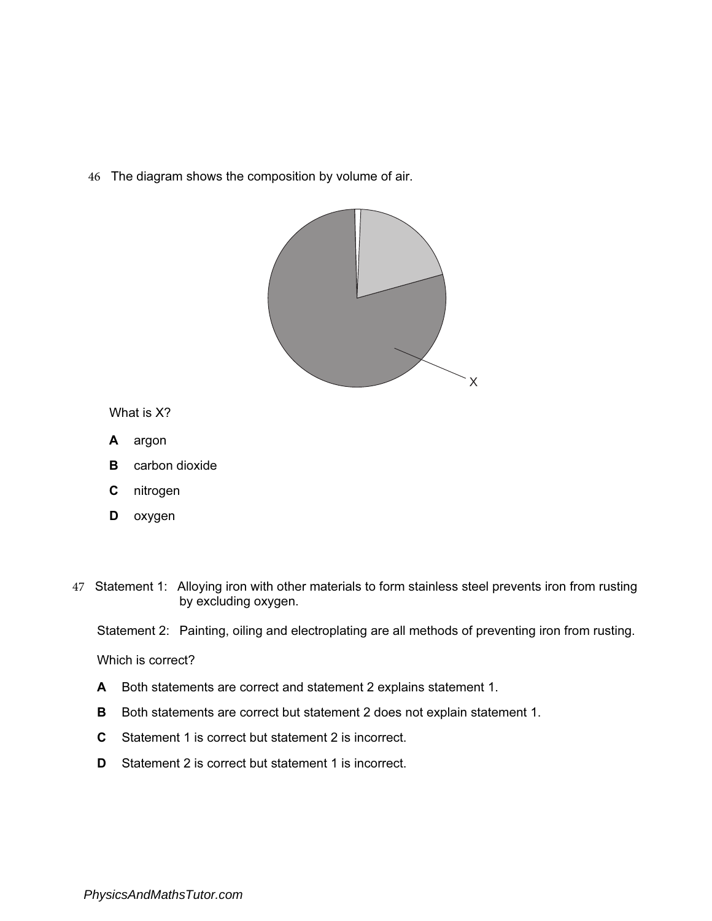46 The diagram shows the composition by volume of air.



What is X?

- A argon
- **B** carbon dioxide
- C nitrogen
- **D** oxygen

47 Statement 1: Alloying iron with other materials to form stainless steel prevents iron from rusting by excluding oxygen.

Statement 2: Painting, oiling and electroplating are all methods of preventing iron from rusting.

Which is correct?

- A Both statements are correct and statement 2 explains statement 1.
- B Both statements are correct but statement 2 does not explain statement 1.
- C Statement 1 is correct but statement 2 is incorrect.
- D Statement 2 is correct but statement 1 is incorrect.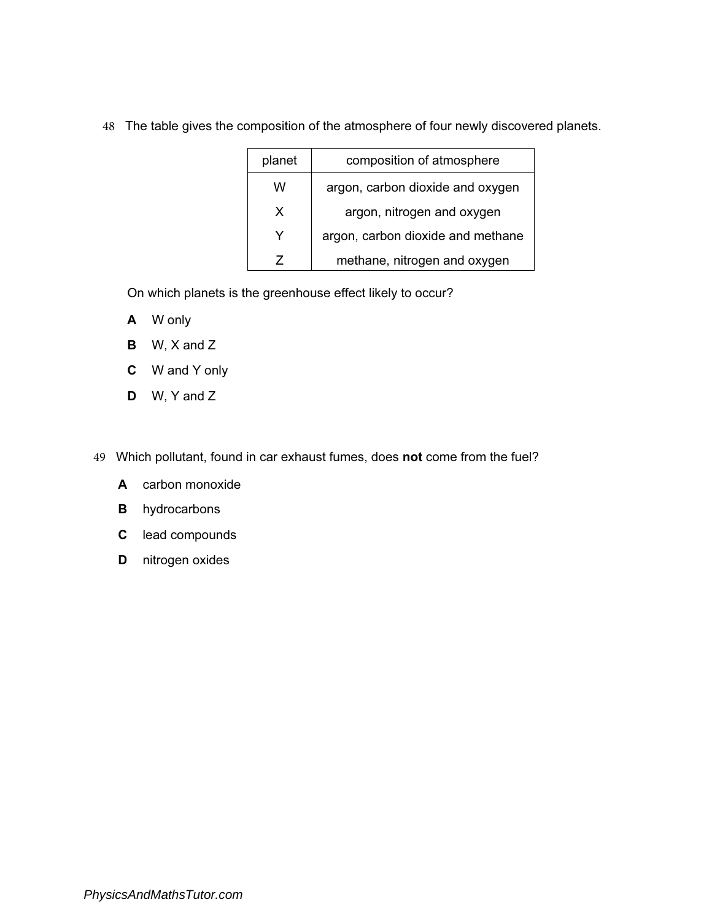| planet | composition of atmosphere         |
|--------|-----------------------------------|
| w      | argon, carbon dioxide and oxygen  |
| X      | argon, nitrogen and oxygen        |
| Y      | argon, carbon dioxide and methane |
|        | methane, nitrogen and oxygen      |

48 The table gives the composition of the atmosphere of four newly discovered planets.

On which planets is the greenhouse effect likely to occur?

- A W only
- B W, X and Z
- C W and Y only
- D W, Y and Z
- 49 Which pollutant, found in car exhaust fumes, does not come from the fuel?
	- A carbon monoxide
	- **B** hydrocarbons
	- C lead compounds
	- D nitrogen oxides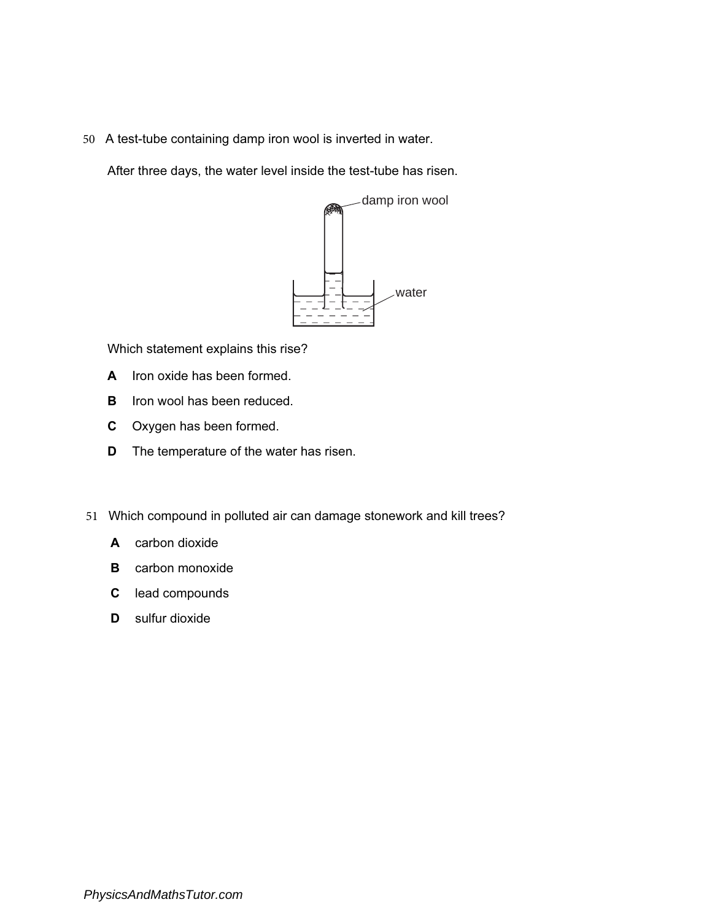50 A test-tube containing damp iron wool is inverted in water.

After three days, the water level inside the test-tube has risen.



Which statement explains this rise?

- A Iron oxide has been formed.
- **B** Iron wool has been reduced.
- C Oxygen has been formed.
- **D** The temperature of the water has risen.
- 51 Which compound in polluted air can damage stonework and kill trees?
	- A carbon dioxide
	- B carbon monoxide
	- C lead compounds
	- D sulfur dioxide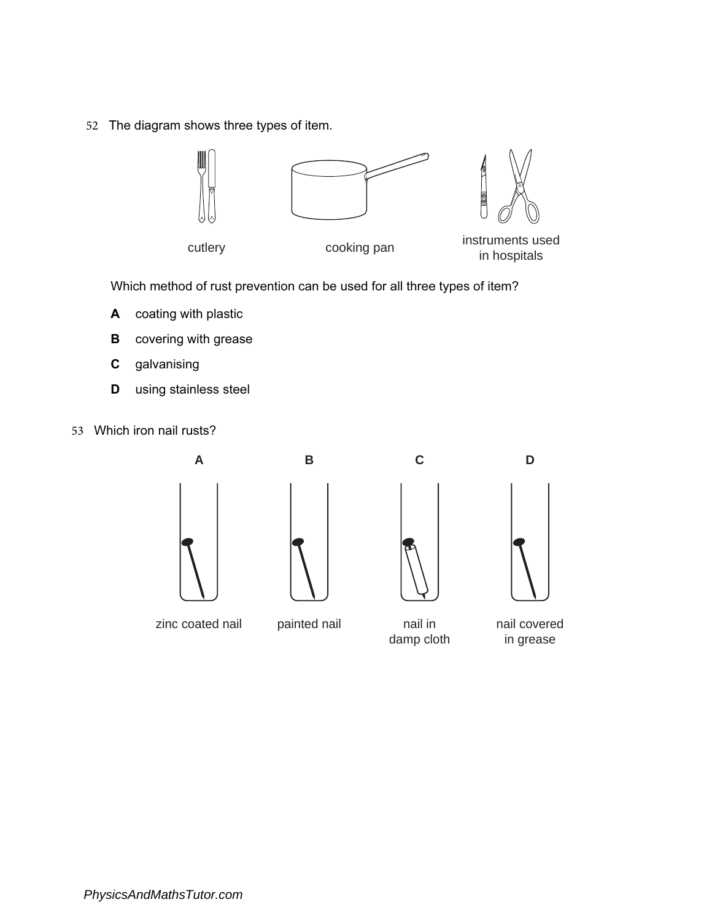52 The diagram shows three types of item.



Which method of rust prevention can be used for all three types of item?

- A coating with plastic
- **B** covering with grease
- C galvanising
- **D** using stainless steel
- 53 Which iron nail rusts?









zinc coated nail painted nail nail in

damp cloth

nail covered in grease